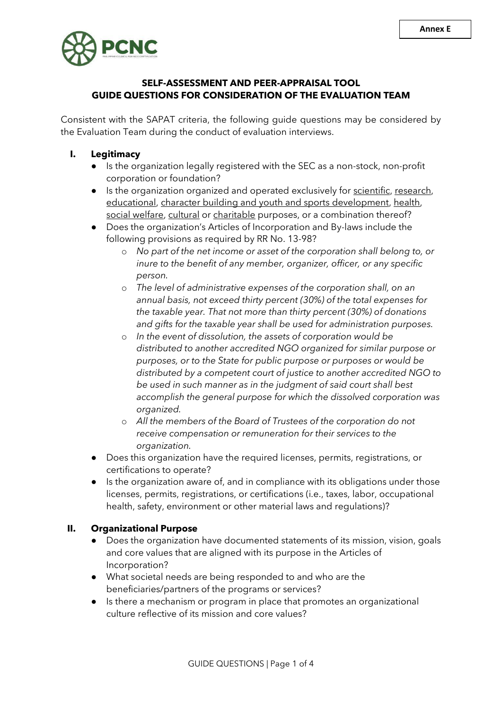

# **SELF-ASSESSMENT AND PEER-APPRAISAL TOOL GUIDE QUESTIONS FOR CONSIDERATION OF THE EVALUATION TEAM**

Consistent with the SAPAT criteria, the following guide questions may be considered by the Evaluation Team during the conduct of evaluation interviews.

- **I. Legitimacy**
	- Is the organization legally registered with the SEC as a non-stock, non-profit corporation or foundation?
	- Is the organization organized and operated exclusively for scientific, research, educational, character building and youth and sports development, health, social welfare, cultural or charitable purposes, or a combination thereof?
	- Does the organization's Articles of Incorporation and By-laws include the following provisions as required by RR No. 13-98?
		- o *No part of the net income or asset of the corporation shall belong to, or inure to the benefit of any member, organizer, officer, or any specific person.*
		- o *The level of administrative expenses of the corporation shall, on an annual basis, not exceed thirty percent (30%) of the total expenses for the taxable year. That not more than thirty percent (30%) of donations and gifts for the taxable year shall be used for administration purposes.*
		- o *In the event of dissolution, the assets of corporation would be distributed to another accredited NGO organized for similar purpose or purposes, or to the State for public purpose or purposes or would be distributed by a competent court of justice to another accredited NGO to be used in such manner as in the judgment of said court shall best accomplish the general purpose for which the dissolved corporation was organized.*
		- o *All the members of the Board of Trustees of the corporation do not receive compensation or remuneration for their services to the organization.*
	- Does this organization have the required licenses, permits, registrations, or certifications to operate?
	- Is the organization aware of, and in compliance with its obligations under those licenses, permits, registrations, or certifications (i.e., taxes, labor, occupational health, safety, environment or other material laws and regulations)?

## **II. Organizational Purpose**

- Does the organization have documented statements of its mission, vision, goals and core values that are aligned with its purpose in the Articles of Incorporation?
- What societal needs are being responded to and who are the beneficiaries/partners of the programs or services?
- Is there a mechanism or program in place that promotes an organizational culture reflective of its mission and core values?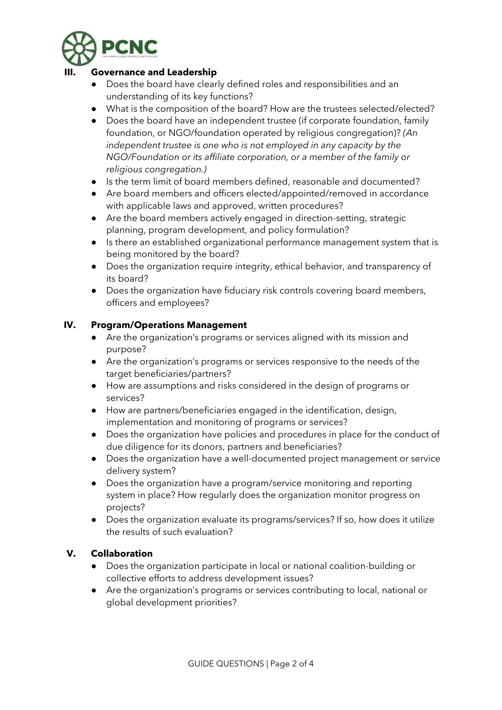

## **III. Governance and Leadership**

- Does the board have clearly defined roles and responsibilities and an understanding of its key functions?
- What is the composition of the board? How are the trustees selected/elected?
- Does the board have an independent trustee (if corporate foundation, family foundation, or NGO/foundation operated by religious congregation)? *(An independent trustee is one who is not employed in any capacity by the NGO/Foundation or its affiliate corporation, or a member of the family or religious congregation.)*
- Is the term limit of board members defined, reasonable and documented?
- Are board members and officers elected/appointed/removed in accordance with applicable laws and approved, written procedures?
- Are the board members actively engaged in direction-setting, strategic planning, program development, and policy formulation?
- Is there an established organizational performance management system that is being monitored by the board?
- Does the organization require integrity, ethical behavior, and transparency of its board?
- Does the organization have fiduciary risk controls covering board members, officers and employees?

### **IV. Program/Operations Management**

- Are the organization's programs or services aligned with its mission and purpose?
- Are the organization's programs or services responsive to the needs of the target beneficiaries/partners?
- How are assumptions and risks considered in the design of programs or services?
- How are partners/beneficiaries engaged in the identification, design, implementation and monitoring of programs or services?
- Does the organization have policies and procedures in place for the conduct of due diligence for its donors, partners and beneficiaries?
- Does the organization have a well-documented project management or service delivery system?
- Does the organization have a program/service monitoring and reporting system in place? How regularly does the organization monitor progress on projects?
- Does the organization evaluate its programs/services? If so, how does it utilize the results of such evaluation?

#### **V. Collaboration**

- Does the organization participate in local or national coalition-building or collective efforts to address development issues?
- Are the organization's programs or services contributing to local, national or global development priorities?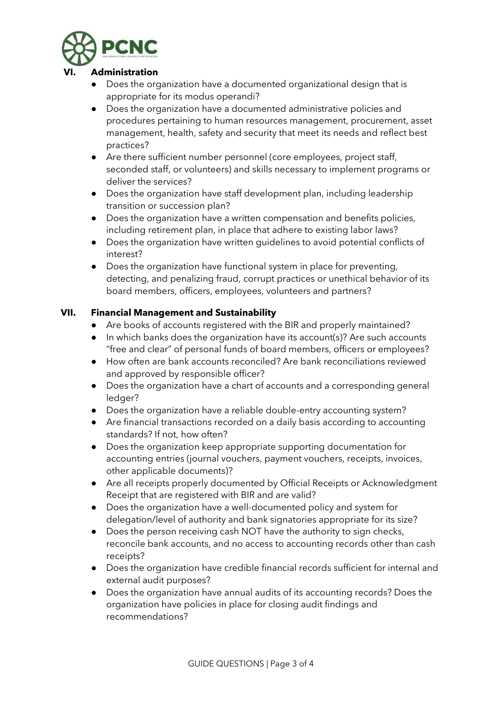

### **VI. Administration**

- Does the organization have a documented organizational design that is appropriate for its modus operandi?
- Does the organization have a documented administrative policies and procedures pertaining to human resources management, procurement, asset management, health, safety and security that meet its needs and reflect best practices?
- Are there sufficient number personnel (core employees, project staff, seconded staff, or volunteers) and skills necessary to implement programs or deliver the services?
- Does the organization have staff development plan, including leadership transition or succession plan?
- Does the organization have a written compensation and benefits policies, including retirement plan, in place that adhere to existing labor laws?
- Does the organization have written guidelines to avoid potential conflicts of interest?
- Does the organization have functional system in place for preventing, detecting, and penalizing fraud, corrupt practices or unethical behavior of its board members, officers, employees, volunteers and partners?

## **VII. Financial Management and Sustainability**

- Are books of accounts registered with the BIR and properly maintained?
- In which banks does the organization have its account(s)? Are such accounts "free and clear" of personal funds of board members, officers or employees?
- How often are bank accounts reconciled? Are bank reconciliations reviewed and approved by responsible officer?
- Does the organization have a chart of accounts and a corresponding general ledger?
- Does the organization have a reliable double-entry accounting system?
- Are financial transactions recorded on a daily basis according to accounting standards? If not, how often?
- Does the organization keep appropriate supporting documentation for accounting entries (journal vouchers, payment vouchers, receipts, invoices, other applicable documents)?
- Are all receipts properly documented by Official Receipts or Acknowledgment Receipt that are registered with BIR and are valid?
- Does the organization have a well-documented policy and system for delegation/level of authority and bank signatories appropriate for its size?
- Does the person receiving cash NOT have the authority to sign checks, reconcile bank accounts, and no access to accounting records other than cash receipts?
- Does the organization have credible financial records sufficient for internal and external audit purposes?
- Does the organization have annual audits of its accounting records? Does the organization have policies in place for closing audit findings and recommendations?